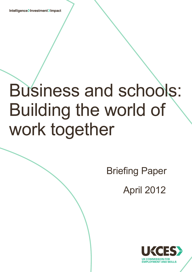Intelligence>Investment>Impact

i.

# Business and schools: Building the world of work together

 Briefing Paper April 2012

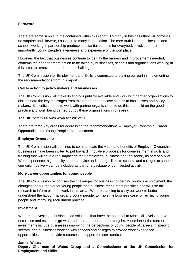#### **Foreword**

There are some simple truths contained within this report. To many in business they will come as no surprise and likewise, I suspect, to many in education. The core truth is that businesses and schools working in partnership produce substantial benefits for everybody involved: most importantly, young people's awareness and experience of the workplace.

However, the fact that businesses continue to identify the barriers and improvements needed, confirms the need for more action to be taken by businesses, schools and organisations working in this area, to remove the barriers and challenges.

The UK Commission for Employment and Skills is committed to playing our part in implementing the recommendations from this report:

#### **Call to action to policy makers and businesses**

The UK Commission will make its findings publicly available and work with partner organisations to disseminate the key messages from this report and the case studies to businesses and policy makers. It is critical for us to work with partner organisations to do this and build on the good practice and work being carried out by these organisations in this area.

#### **The UK Commission's work for 2012/13**

There are three key areas for addressing the recommendations – Employer Ownership, Career Opportunities for Young People and Investment.

#### **Employer Ownership**

The UK Commission will continue to communicate the value and benefits of Employer Ownership. Businesses have been invited to put forward innovative proposals for co-investment in skills and training that will have a real impact on their employees, business and the sector, as part of a pilot. Work experience, high quality careers advice and strategic links to schools and colleges to support curriculum delivery can be included as part of a package of co-invested activity.

#### **More career opportunities for young people**

The UK Commission recognises the challenges for business concerning youth unemployment, the changing labour market for young people and business recruitment practices and will use this research to inform planned work in this area. We are planning to carry out work to better understand the labour market and young people; to make the business case for recruiting young people and improving recruitment practice.

#### **Investment**

We are co-investing in business-led solutions that have the potential to raise skill levels to drive enterprise and economic growth, and to create more and better jobs. A number of the current investments include businesses improving the perceptions of young people of careers in specific sectors, and businesses working with schools and colleges to provide work experience opportunities and to provide resources to support the core curriculum.

#### **James Wates**

**Deputy Chairman of Wates Group and a Commissioner at the UK Commission for Employment and Skills**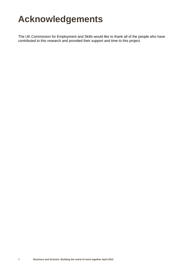### **Acknowledgements**

The UK Commission for Employment and Skills would like to thank all of the people who have contributed to this research and provided their support and time to this project.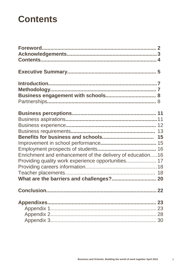### **Contents**

| Enrichment and enhancement of the delivery of education16 |  |
|-----------------------------------------------------------|--|
| Providing quality work experience opportunities 17        |  |
|                                                           |  |
|                                                           |  |
|                                                           |  |
|                                                           |  |
|                                                           |  |
|                                                           |  |
|                                                           |  |
|                                                           |  |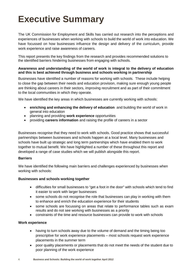## **Executive Summary**

The UK Commission for Employment and Skills has carried out research into the perceptions and experiences of businesses when working with schools to build the world of work into education. We have focussed on how businesses influence the design and delivery of the curriculum, provide work experience and raise awareness of careers.

This report presents the key findings from the research and provides recommended solutions to the identified barriers hindering businesses from engaging with schools.

#### **Awareness and understanding of the world of work is integral to the delivery of education and this is best achieved through business and schools working in partnership**

Businesses have identified a number of reasons for working with schools. These include helping to close the gap between their needs and education provision, making sure enough young people are thinking about careers in their sectors, improving recruitment and as part of their commitment to the local communities in which they operate.

We have identified the key areas in which businesses are currently working with schools:

- **enriching and enhancing the delivery of education** and building the world of work in general into education
- planning and providing **work experience** opportunities
- providing **careers information** and raising the profile of careers in a sector

Businesses recognise that they need to work with schools. Good practice shows that successful partnerships between businesses and schools happen at a local level. Many businesses and schools have built up strategic and long term partnerships which have enabled them to work together to mutual benefit. We have highlighted a number of these throughout this report and developed a range of case studies which we will publish alongside this report.

#### **Barriers**

We have identified the following main barriers and challenges experienced by businesses when working with schools:

#### **Businesses and schools working together**

- difficulties for small businesses to "get a foot in the door" with schools which tend to find it easier to work with larger businesses
- some schools do not recognise the role that businesses can play in working with them to enhance and enrich the education experience for their students
- some schools are focussing on areas that relate to performance tables such as exam results and do not see working with businesses as a priority
- constraints of the time and resource businesses can provide to work with schools

#### **Work experience**

- having to turn schools away due to the volume of demand and the timing being too prescriptive for work experience placements – most schools request work experience placements in the summer term
- poor quality placements or placements that do not meet the needs of the student due to poor planning of the work experience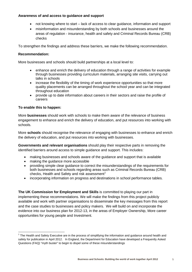#### **Awareness of and access to guidance and support**

- not knowing where to start lack of access to clear guidance, information and support
- misinformation and misunderstanding by both schools and businesses around the areas of regulation - insurance, health and safety and Criminal Records Bureau (CRB) checks

To strengthen the findings and address these barriers, we make the following recommendation.

#### **Recommendation:**

More businesses and schools should build partnerships at a local level to:

- enhance and enrich the delivery of education through a range of activities for example through businesses providing curriculum materials, arranging site visits, carrying out talks in schools
- increase the flexibility of the timing of work experience opportunities so that more quality placements can be arranged throughout the school year and can be integrated throughout education
- provide up to date information about careers in their sectors and raise the profile of careers

#### **To enable this to happen:**

.<br>-

More **businesses** should work with schools to make them aware of the relevance of business engagement to enhance and enrich the delivery of education, and put resources into working with schools.

More **schools** should recognise the relevance of engaging with businesses to enhance and enrich the delivery of education, and put resources into working with businesses.

**Governments and relevant organisations** should play their respective parts in removing the identified barriers around access to simple guidance and support. This includes:

- making businesses and schools aware of the guidance and support that is available
- making the quidance more accessible
- providing simple clear guidance to correct the misunderstandings of the requirements for both businesses and schools regarding areas such as Criminal Records Bureau (CRB) checks, Health and Safety and risk assessment<sup>[1](#page-5-0)</sup>
- incorporating information on progress and destinations in school performance tables.

**The UK Commission for Employment and Skills** is committed to playing our part in implementing these recommendations. We will make the findings from this project publicly available and work with partner organisations to disseminate the key messages from this report and the case studies to businesses and policy makers. We will build on and incorporate the evidence into our business plan for 2012-13, in the areas of Employer Ownership, More career opportunities for young people and Investment.

<span id="page-5-0"></span> $1$  The Health and Safety Executive are in the process of simplifying the information and guidance around health and safety for publication in April 2012. In England, the Department for Education have developed a Frequently Asked Questions (FAQ) "myth buster" to begin to dispel some of these misunderstandings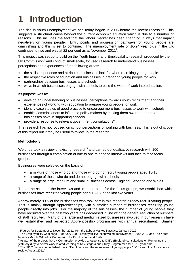# **1 Introduction**

The rise in youth unemployment we see today began in 2005 before the recent recession. This suggests a structural cause beyond the current economic situation which is due to a number of reasons. This includes the fact that the labour market has been changing in ways that impact negatively on young people. Entry points and progression pathways for young people are diminishing and this is set to continue. The unemployment rate of 16-24 year olds in the UK continues to rise and was at [2](#page-6-0)2 per cent as at November 2011<sup>2</sup>.

This project was set up to build on the Youth Inquiry and Employability research produced by the UK Commission<sup>[3](#page-6-1)</sup> and conduct small scale, focused research to understand businesses' perceptions and experiences of the following areas:

- the skills, experience and attributes businesses look for when recruiting young people
- the respective roles of education and businesses in preparing young people for work
- partnerships between businesses and schools
- ways in which businesses engage with schools to build the world of work into education.

Its purpose was to:

- develop an understanding of businesses' perceptions towards youth recruitment and their experiences of working with education to prepare young people for work
- identify case studies of good practice to encourage more businesses to work with schools
- enable Commissioners to influence policy makers by making them aware of the role businesses have in supporting schools
- provide a response to relevant government consultations<sup>[4](#page-6-2)</sup>

The research has not focused on school perceptions of working with business. This is out of scope of this report but it may be useful to follow up the research.

#### **Methodology**

We undertook a review of existing research<sup>[5](#page-6-3)</sup> and carried out qualitative research with 100 businesses through a combination of one to one telephone interviews and face to face focus groups.

Businesses were selected on the basis of:

- a mixture of those who do and those who do not recruit young people aged 16-18
- a range of those who do and do not engage with schools
- a range of large, medium and small businesses across England, Scotland and Wales.

To set the scene in the interviews and in preparation for the focus groups, we established which businesses have recruited young people aged 16-18 in the last two years.

Approximately 80% of the businesses who took part in this research already recruit young people. This is mainly through Apprenticeships, with a smaller number of businesses recruiting young people directly into jobs. For the majority of the businesses, the number of young people they have recruited over the past two years has decreased in line with the general reduction of numbers of staff recruited. Many of the large and medium sized businesses involved in our research have well established and respected Apprenticeship programmes with annual recruitment. Smaller

<span id="page-6-0"></span><sup>&</sup>lt;sup>2</sup> Figures for September to November 2011 from the Labour Market Statistics: January 2012

<span id="page-6-1"></span><sup>&</sup>lt;sup>3</sup> The Employability Challenge - February 2009, Employability: Incentivising Improvement - June 2010 and The Youth<br>Inquiry - March 2011– UK Commission for Employment and Skills

<span id="page-6-2"></span> $<sup>4</sup>$  As part of the project, the UK Commission provided a response to DfE's (England) consultations on Removing the</sup> statutory duty to deliver work related learning at Key Stage 4 and Study Programmes for 16-19 year olds 5 Statu<br>5 The UK Commission published this in "Employers and the recruitment of young people 16-18 year olds: An evid

<span id="page-6-3"></span>review August 2011".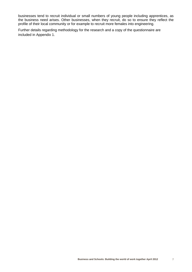businesses tend to recruit individual or small numbers of young people including apprentices, as the business need arises. Other businesses, when they recruit, do so to ensure they reflect the profile of their local community or for example to recruit more females into engineering.

Further details regarding methodology for the research and a copy of the questionnaire are included in Appendix 1.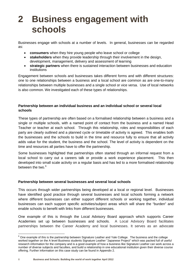### **2 Business engagement with schools**

Businesses engage with schools at a number of levels. In general, businesses can be regarded as:

- **consumers** when they hire young people who leave school or college
- **stakeholders** when they provide leadership through their involvement in the design, development, management, delivery and assessment of learning
- **strategic partners** when there is sustained interaction between businesses and education institutions

Engagement between schools and businesses takes different forms and with different structures: one to one relationships between a business and a local school are common as are one-to-many relationships between multiple businesses and a single school or vice versa. Use of local networks is also common. We investigated each of these types of relationships.

#### **Partnership between an individual business and an individual school or several local schools**

These types of partnership are often based on a formalised relationship between a business and a single or multiple schools, with a named point of contact from the business and a named Head Teacher or teacher at each school. Through this relationship, roles and responsibilities of each party are clearly outlined and a planned cycle or timetable of activity is agreed. This enables both the businesses and the schools to build in the time and resource fully to ensure that all activity adds value for the student, the business and the school. The level of activity is dependent on the time and resources all parties have to offer the partnership.

Some businesses highlighted that partnerships often started through an informal request from a local school to carry out a careers talk or provide a work experience placement. This then developed into small scale activity on a regular basis and has led to a more formalised relationship between the two. $6$ 

#### **Partnership between several businesses and several local schools**

This occurs through wider partnerships being developed at a local or regional level. Businesses have identified good practice through several businesses and local schools forming a network where different businesses can either support different schools or working together, individual businesses can each support specific activities/subject areas which will share the "burden" and enable schools to benefit with links from different businesses.

One example of this is through the Local Advisory Board approach which supports Career Academies set up between businesses and schools. A Local Advisory Board facilitates partnerships between the Career Academy and local businesses. It serves as an advocate

<u>.</u>

<span id="page-8-0"></span> $6$  One example of this is the partnership between Signature Leather and Yale College. The business and the college worked together on the A level Business students Signature Leather "Japanese Project" which was packed full of useful research information for the company and is a good example of how a business like Signature Leather can work across a number of diverse subjects and faculties, and build a relationship in one educational institution given their diverse course offering. Further information on this case study can be found in Appendix 2.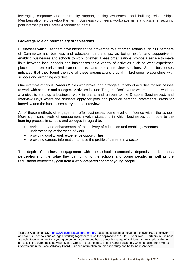leveraging corporate and community support, raising awareness and building relationships. Members also help develop Partner in Business volunteers, workplace visits and assist in securing paid internships for Career Academy students.<sup>[7](#page-9-0)</sup>

#### **Brokerage role of intermediary organisations**

Businesses which use them have identified the brokerage role of organisations such as Chambers of Commerce and business and education partnerships, as being helpful and supportive in enabling businesses and schools to work together. These organisations provide a service to make links between local schools and businesses for a variety of activities such as work experience placements, enterprise and careers talks, and mock interview sessions. Some businesses indicated that they found the role of these organisations crucial in brokering relationships with schools and arranging activities.

One example of this is Careers Wales who broker and arrange a variety of activities for businesses to work with schools and colleges. Activities include 'Dragons Den' events where students work on a project to start up a business, work in teams and present to the Dragons (businesses); and Interview Days where the students apply for jobs and produce personal statements; dress for interview and the businesses carry out the interviews.

All of these methods of engagement offer businesses some level of influence within the school. More significant levels of engagement involve situations in which businesses contribute to the learning process in schools and colleges in regard to:

- enrichment and enhancement of the delivery of education and enabling awareness and understanding of the world of work
- providing quality work experience opportunities

.<br>-

• providing careers information to raise the profile of careers in a sector

The depth of business engagement with the schools community depends on **business perceptions** of the value they can bring to the schools and young people, as well as the recruitment benefit they gain from a work-prepared cohort of young people.

<span id="page-9-0"></span> $7$  Career Academies U[K http://www.careeracademies.org.uk/](http://www.careeracademies.org.uk/) leads and supports a movement of over 1000 employers and over 120 schools and colleges, working together to raise the aspirations of 16 to 19-year-olds. Partners in Business are volunteers who mentor a young person on a one to one basis through a range of activities. An example of this in practice is the partnership between Mears Group and Lambeth College's Career Academy which resulted from Mears' involvement in the Local Advisory Board. Further information on this case study can be found in Annex 2.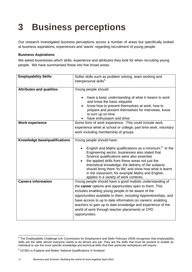# **3 Business perceptions**

Our research investigated business perceptions across a number of areas but specifically looked at business aspirations, experiences and 'wants' regarding recruitment of young people:

#### **Business Aspirations**

We asked businesses which skills, experience and attributes they look for when recruiting young people. We have summarised these into five broad areas:

| <b>Employability Skills</b>     |                                                                    |  |
|---------------------------------|--------------------------------------------------------------------|--|
|                                 | Softer skills such as problem solving, team working and            |  |
|                                 | interpersonal skills <sup>8</sup>                                  |  |
|                                 |                                                                    |  |
| <b>Attributes and qualities</b> | Young people should:                                               |  |
|                                 |                                                                    |  |
|                                 | have a basic understanding of what it means to work                |  |
|                                 | and know the basic etiquette                                       |  |
|                                 | know how to present themselves at work, how to                     |  |
|                                 | prepare and present themselves for interviews, know                |  |
|                                 | to turn up on time                                                 |  |
|                                 |                                                                    |  |
|                                 | have enthusiasm and drive                                          |  |
| <b>Work experience</b>          | Some form of work experience. This could include work              |  |
|                                 | experience while at school or college, part-time work, voluntary   |  |
|                                 | work including membership of groups.                               |  |
|                                 |                                                                    |  |
| Knowledge base/qualifications   | Young people should have:                                          |  |
|                                 |                                                                    |  |
|                                 | English and Maths qualifications as a minimum. <sup>9</sup> In the |  |
|                                 | Engineering sector, businesses also stated that                    |  |
|                                 | Science qualifications were also essential.                        |  |
|                                 | the applied skills from these areas not just the                   |  |
|                                 |                                                                    |  |
|                                 | theoretical knowledge; the delivery of the subjects                |  |
|                                 | should bring them "to life" and show how what is learnt            |  |
|                                 | in the classroom, for example Maths and English,                   |  |
|                                 | applies in a variety of work contexts.                             |  |
| <b>Careers information</b>      | Young people should have a good realistic understanding of         |  |
|                                 | the career options and opportunities open to them. This            |  |
|                                 | includes enabling young people to be aware of the                  |  |
|                                 |                                                                    |  |
|                                 | opportunities available to them, including Apprenticeships, and    |  |
|                                 | have access to up to date information on careers; enabling         |  |
|                                 | teachers to gain up to date knowledge and experience of the        |  |
|                                 | world of work through teacher placements or CPD                    |  |
|                                 | opportunities.                                                     |  |
|                                 |                                                                    |  |
|                                 |                                                                    |  |

.

<span id="page-10-0"></span><sup>&</sup>lt;sup>8</sup> The Employability Challenge (UK Commission for Employment and Skills February 2009) recognises that employability skills are the skills almost everyone needs to do almost any job. They are the skills that must be present to enable an individual to use the more specific knowledge and technical skills that their particular workplaces will require.

<span id="page-10-1"></span><sup>&</sup>lt;sup>9</sup> GCSEs in England and Wales; National Qualifications in Scotland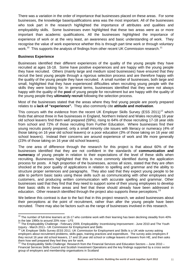There was a variation in the order of importance that businesses placed on these areas. For some businesses, the knowledge base/qualifications area was the most important. All of the businesses who took part in the research highlighted the importance of attributes and qualities and employability skills. Some businesses even highlighted that these two areas were as or more important than academic qualifications. All the businesses highlighted the importance of experience of work or at the very least, an awareness and basic understanding of work. They recognise the value of work experience whether this is through part time work or through voluntary work.<sup>[10](#page-11-0)</sup> This supports the analysis of findings from other recent UK Commission research.<sup>[11](#page-11-1)</sup>

#### **Business Experience**

.<br>-

Businesses identified their different experiences of the quality of the young people they have recruited at ages 16-18. Some have positive experiences and are happy with the young people they have recruited. Others (mainly large and medium sized businesses) have ensured that they recruit the best young people through a rigorous selection process and are therefore happy with the quality of the young people they have recruited. A small number of businesses, both large and small, highlighted that they have experienced difficulties when recruiting young people with the skills they were looking for. In general terms, businesses identified that they were not always happy with the quality of the **pool** of young people for recruitment but are happy with the quality of the young people they **ultimately recruit** following the selection process.

Most of the businesses stated that the areas where they find young people are poorly prepared relates to a **lack of "experience".** They also commonly cite **attitude and motivation**.

This concurs with the evidence from the recent UK Employer Skills Survey (ESS 2011)<sup>[12](#page-11-2)</sup> which finds that almost three in five businesses in England, Northern Ireland and Wales recruiting 16 year old school leavers find them well prepared (59%), rising to 64% of those recruiting 17-18 year olds from school and 72% of those recruiting from Further Education. Where businesses find their young recruits poorly prepared, only a small minority cite issues with literacy or numeracy (4% of those taking on 16 year old school leavers) or a poor education (3% of those taking on 16 year old school leavers). Instead their concerns are around experience of work and life more generally (23% of those taking on 16 year old school leavers).

The one area of difference through the research for this project is that about 60% of the businesses identified that they are not confident in the standards of **communication and numeracy** of young people in relation to their expectations of the level of these skills when recruiting. Businesses highlighted that this is most commonly identified during the application process for posts. A high proportion of the businesses, across all sizes, stated that they are often shocked at the poor quality of applications in relation to spelling and grammar and the ability to structure proper sentences and paragraphs. They also said that they expect young people to be able to perform basic tasks using these skills such as communicating with other employees and customers, and producing written communication with accurate spelling and grammar. Other businesses said that they find that they need to support some of their young employees to develop their basic skills in these areas and feel that these should already have been addressed in education. Other research identified through the project also supports these perceptions.<sup>[13](#page-11-3)</sup>

We believe this contrast is due to the fact that in this project research, we asked businesses about their perceptions at the point of recruitment, rather than after the young people have been recruited. There may also be factors such as the range of businesses involved in this research.

 $10$  The number of full-time learners at 16-17 who combine work with their learning has been declining steadily from 40%

<span id="page-11-1"></span><span id="page-11-0"></span>in the late 1990s to around 20% now - LFS<br><sup>11</sup> The Employability Challenge - February 2009, Employability: Incentivising Improvement - June 2010 and The Youth Inquiry - March 2011– UK Commission for Employment and Skills<br><sup>12</sup> UK Employer Skills Survey (ESS 2011: UK Commission for Employment and Skills is a UK wide survey asking<br><sup>12</sup> UK Employer Skills Survey (ESS 2011: UK Commis

<span id="page-11-2"></span>employers about recruitment problems, skills gaps, training practices and expenditure. The survey asks employers if they recruit 16 year old school leavers, 17 and 18 year old school or college leavers of leavers from HE, and then asks them how well prepared they feel they are for work.

<span id="page-11-3"></span><sup>&</sup>lt;sup>13</sup> The Employability Skills Challenge: Research from the Financial Services and Education Sectors – June 2010 – Financial Services Skills Council and Scottish Investment Operations and the key findings supported by a cross sector group of employers and membership organisations in Scotland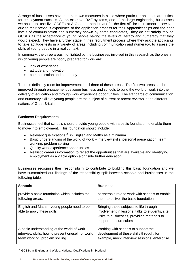A range of businesses have put their own measures in place where particular aptitudes are critical for employment success. As an example, BAE systems, one of the large engineering businesses we spoke to, use five GCSEs at A-C as the benchmark for the first sift for recruitment. However due to their previous experience of the application process for their Apprenticeships and the poor levels of communication and numeracy shown by some candidates, they do not **solely** rely on GCSEs as the acceptance of young people having the levels of literacy and numeracy that they would expect. They have a further stage in their recruitment process where they ask the applicants to take aptitude tests in a variety of areas including communication and numeracy, to assess the skills of young people in a real context.

In summary, the three areas highlighted by the businesses involved in this research as the ones in which young people are poorly prepared for work are:

- lack of experience
- attitude and motivation
- communication and numeracy

There is definitely room for improvement in all three of these areas. The first two areas can be improved through engagement between business and schools to build the world of work into the delivery of education and through work experience opportunities. The standards of communication and numeracy skills of young people are the subject of current or recent reviews in the different nations of Great Britain.

#### **Business Requirements**

Businesses feel that schools should provide young people with a basic foundation to enable them to move into employment. This foundation should include:

- Relevant qualifications<sup>[14](#page-12-0)</sup> in English and Maths as a minimum
- Basic understanding of the world of work interview skills, personal presentation, team working, problem solving
- Quality work experience opportunities
- Realistic careers information to reflect the opportunities that are available and identifying employment as a viable option alongside further education

Businesses recognise their responsibility to contribute to building this basic foundation and we have summarised our findings of the responsibility split between schools and businesses in the following table.

| <b>Schools</b>                                     | <b>Business</b>                                 |
|----------------------------------------------------|-------------------------------------------------|
|                                                    |                                                 |
| provide a basic foundation which includes the      | partnership role to work with schools to enable |
| following areas:                                   | them to deliver the basic foundation:           |
|                                                    |                                                 |
| English and Maths - young people need to be        | Bringing these subjects to life through         |
| able to apply these skills                         | involvement in lessons, talks to students, site |
|                                                    | visits to businesses, providing materials to    |
|                                                    | support the curriculum                          |
|                                                    |                                                 |
| A basic understanding of the world of work $-$     | Working with schools to support the             |
|                                                    |                                                 |
| interview skills, how to present oneself for work, | development of these skills through, for        |
| team working, problem solving                      | example, mock interview sessions, enterprise    |
|                                                    |                                                 |

<span id="page-12-0"></span><sup>&</sup>lt;sup>14</sup> GCSEs in England and Wales; National Qualifications in Scotland

.<br>-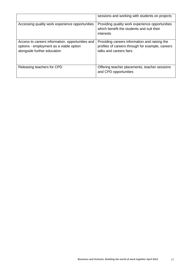|                                                                                                                            | sessions and working with students on projects                                                                               |
|----------------------------------------------------------------------------------------------------------------------------|------------------------------------------------------------------------------------------------------------------------------|
| Accessing quality work experience opportunities                                                                            | Providing quality work experience opportunities<br>which benefit the students and suit their<br>interests                    |
| Access to careers information, opportunities and<br>options - employment as a viable option<br>alongside further education | Providing careers information and raising the<br>profiles of careers through for example, careers<br>talks and careers fairs |
| Releasing teachers for CPD                                                                                                 | Offering teacher placements, teacher sessions<br>and CPD opportunities                                                       |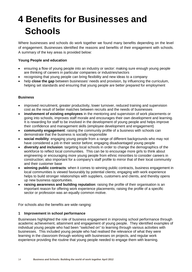# **4 Benefits for Businesses and Schools**

Where businesses and schools do work together we found many benefits depending on the level of engagement. Businesses identified the reasons and benefits of their engagement with schools. A summary of the key areas is provided below:

#### **Young People and education**

- ensuring a flow of young people into an industry or sector: making sure enough young people are thinking of careers in particular companies or industries/sectors
- recognising that young people can bring flexibility and new ideas to a company
- help **close the gap** between businesses' needs and provision, by influencing the curriculum, helping set standards and ensuring that young people are better prepared for employment

#### **Business**

- improved recruitment, greater productivity, lower turnover, reduced training and supervision cost as the result of better matches between recruits and the needs of businesses
- **involvement of existing employees** in the mentoring and supervision of work placements or going into schools, improves staff morale and encourages their own development and learning. It is rewarding for staff to be involved in the development of young people and helps improve their confidence and management skills (employee development and engagement)
- **community engagement**: raising the community profile of a business with schools can demonstrate that the business is socially responsible
- **social mobility**: engaging young people from a range of different backgrounds who may not have considered a job in their sector before; engaging disadvantaged young people
- **diversity and inclusion**: targeting local schools in order to change the demographics of the workforce to reflect local communities. This can be to encourage more girls to think about engineering or encouraging more young people from ethnic minorities to consider careers in construction; also important for a company's staff profile to mirror that of their local community and their customer base
- **winning public contracts**: when it comes to winning public contracts, business engagement in local communities is viewed favourably by potential clients; engaging with work experience helps to build stronger relationships with suppliers, customers and clients, and thereby opens up new business opportunities.
- **raising awareness and building reputation**: raising the profile of their organisation is an important reason for offering work experience placements; raising the profile of a specific sector or profession was an equally common motive.

For schools also the benefits are wide ranging:

#### **1 Improvement in school performance**

Businesses highlighted the role of business engagement in improving school performance through academic achievement, attainment and engagement of young people. They identified examples of individual young people who had been "switched on" to learning through various activities with businesses. This included young people who had realised the relevance of what they were learning in the classroom through working with businesses on projects, and regular work experience providing the routine that young people needed to engage them with learning.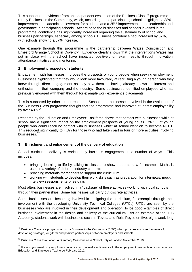This supports the evidence from an independent evaluation of the Business Class<sup>[15](#page-15-0)</sup> programme run by Business in the Community, which, according to the participating schools, highlights a 38% improvement in academic achievement for students and a 25% improvement in the leadership and governance in participating schools. According to the businesses and schools involved in the programme, confidence has significantly increased regarding the sustainability of school and business partnerships, especially among schools. Business confidence had increased by 32%, with schools showing a 57% increase.

One example through this programme is the partnership between Wates Construction and Ernesford Grange School in Coventry. Evidence clearly shows that the interventions Wates has put in place with the school have impacted positively on exam results through motivation, attendance initiatives and mentoring.

#### **2 Employment prospects of students**

Engagement with businesses improves the prospects of young people when seeking employment. Businesses highlighted that they would look more favourably at recruiting a young person who they knew through direct engagement as they saw them as having already shown an interest and enthusiasm in their company and the industry. Some businesses identified employees who had previously engaged with them through for example work experience placements.

This is supported by other recent research. Schools and businesses involved in the evaluation of the Business Class programme thought that the programme had improved students' employability by over 40%.[16](#page-15-1)

Research by the Education and Employers' Taskforce shows that contact with businesses while at school has a significant impact on the employment prospects of young adults. 26.1% of young people who could recall no contact with businesses whilst at school went on to become NEET. This reduced significantly to 4.3% for those who had taken part in four or more activities involving businesses.<sup>[17](#page-15-2)</sup>

#### **3 Enrichment and enhancement of the delivery of education**

School curriculum delivery is enriched by business engagement in a number of ways. This includes:

- bringing learning to life by talking to classes to show students how for example Maths is used in a variety of different industry contexts
- providing materials for teachers to support the curriculum

.<br>-

• working with students to develop their work skills such as preparation for interviews, mock interview sessions, enterprise days

Most often, businesses are involved in a "package" of these activities working with local schools through their partnerships. Some businesses will carry out discrete activities.

Some businesses are becoming involved in designing the curriculum, for example through their involvement with the developing University Technical Colleges (UTCs). UTCs are seen by the businesses who are involved in their development and operation, to be good examples of direct business involvement in the design and delivery of the curriculum. As an example at the JCB Academy, students work with businesses such as Toyota and Rolls Royce on five, eight week long

<span id="page-15-0"></span><sup>&</sup>lt;sup>15</sup> Business Class is a programme run by Business in the Community (BITC) which provides a simple framework for developing strategic, long-term and positive partnerships between employers and schools.

<span id="page-15-1"></span><sup>&</sup>lt;sup>16</sup> Business Class Evaluation: A Summary Cass Business School, City of London November 2010

<span id="page-15-2"></span> $17$  It's who you meet: why employer contacts at school make a difference to the employment prospects of young adults – Education and Employers Taskforce February 2012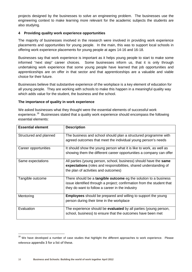projects designed by the businesses to solve an engineering problem. The businesses use the engineering context to make learning more relevant for the academic subjects the students are also studying.

#### **4 Providing quality work experience opportunities**

The majority of businesses involved in the research were involved in providing work experience placements and opportunities for young people. In the main, this was to support local schools in offering work experience placements for young people at ages 14-16 and 16-18.

Businesses say that work experience is important as it helps young people to start to make some informed "next step" career choices. Some businesses inform us, that it is only through undertaking work experience that some young people have learned that job opportunities and apprenticeships are on offer in that sector and that apprenticeships are a valuable and viable choice for their future.

Businesses believe that substantive experience of the workplace is a key element of education for all young people. They are working with schools to make this happen in a meaningful quality way which adds value for the student, the business and the school.

#### **The importance of quality in work experience**

We asked businesses what they thought were the essential elements of successful work experience.<sup>[18](#page-16-0)</sup> Businesses stated that a quality work experience should encompass the following essential elements:

| <b>Essential element</b> | <b>Description</b>                                                      |
|--------------------------|-------------------------------------------------------------------------|
| Structured and planned   | The business and school should plan a structured programme with         |
|                          | agreed outcomes that meet the individual young person's needs           |
| Career opportunities     | It should show the young person what it is like to work, as well as     |
|                          | showing them the different career opportunities a company can offer     |
| Same expectations        | All parties (young person, school, business) should have the same       |
|                          | expectations (roles and responsibilities, shared understanding of       |
|                          | the plan of activities and outcomes)                                    |
| Tangible outcome         | There should be a tangible outcome eg the solution to a business        |
|                          | issue identified through a project; confirmation from the student that  |
|                          | they do want to follow a career in the industry                         |
| Mentoring                | <b>Employees</b> should be prepared and willing to support the young    |
|                          | person during their time in the workplace                               |
| Evaluation               | The experience should be <b>evaluated</b> by all parties (young person, |
|                          | school, business) to ensure that the outcomes have been met             |

<span id="page-16-0"></span><sup>&</sup>lt;sup>18</sup> We have developed a number of case studies that highlight the different approaches to work experience. Please reference appendix 3 for a list of these.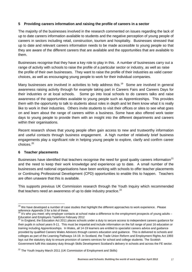#### **5 Providing careers information and raising the profile of careers in a sector**

The majority of the businesses involved in the research commented on issues regarding the lack of up to date careers information available to students and the negative perception of young people of careers in sectors including retail, construction, tourism and hospitality. Businesses stressed that up to date and relevant careers information needs to be made accessible to young people so that they are aware of the different careers that are available and the opportunities that are available to them.

Businesses recognise that they have a key role to play in this. A number of businesses carry out a range of activity with schools to raise the profile of a particular sector or industry, as well as raise the profile of their own businesses. They want to raise the profile of their industries as valid career choices, as well as encouraging young people to work for their individual companies.

Many businesses are involved in activities to help address this.<sup>[19](#page-17-0)</sup> Some are involved in general awareness raising activity through for example taking part in Careers Fairs and Careers Days for their industries or at local schools. Some go into local schools to do careers talks and raise awareness of the opportunities available to young people such as Apprenticeships. This provides them with the opportunity to talk to students about roles in depth and let them know what it is really like to work in their industries. Others invite students to visit their offices or sites to see what goes on and learn about the range of careers within a business. Some have also offered work taster days to young people to provide them with an insight into the different departments and careers within their organisations.

Recent research shows that young people often gain access to new and trustworthy information and useful contacts through business engagement. A high number of relatively brief business engagements play a significant role in helping young people to explore, clarify and confirm career choices. [20](#page-17-1)

#### **6 Teacher placements**

<u>.</u>

Businesses have identified that teachers recognise the need for good quality careers information<sup>[21](#page-17-2)</sup> and the need to keep their work knowledge and experience up to date. A small number of the businesses and national organisations have been working with schools to offer teacher placements or Continuing Professional Development (CPD) opportunities to enable this to happen. Teachers are often unaware that this is available.

This supports previous UK Commission research through the Youth Inquiry which recommended that teachers need an awareness of up to date industry practice.<sup>[22](#page-17-3)</sup>

<span id="page-17-0"></span><sup>&</sup>lt;sup>19</sup> We have developed a number of case studies that highlight the different approaches to work experience. Please reference Appendix 3 for a list of these.<br><sup>20</sup> It's who you meet: why employer contacts at school make a difference to the employment prospects of young adults –

<span id="page-17-1"></span>Education and Employers Taskforce February 2012

<span id="page-17-2"></span><sup>&</sup>lt;sup>21</sup> In England, the Education Act 2011 places schools under a duty to secure access to independent careers guidance for their pupils in school years 9-11. This must be impartial and include information on the full range of post 16 education or training including Apprenticeships. In Wales, all 14-19 learners are entitled to specialist careers advice and guidance provided by qualified Careers Wales Advisors through careers education and guidance. This is delivered to schools and colleges as part of the Learning Pathways 14-19. In Scotland, the Trade Union Reform and Employment Rights Act 1993 lays out the statutory duty to ensure provision of careers services for school and college students. The Scottish Government fulfil this statutory duty through Skills Development Scotland's delivery in schools and across the FE sector.

<span id="page-17-3"></span><sup>&</sup>lt;sup>22</sup> The Youth Inquiry March 2011 (UK Commission of Employment and Skills)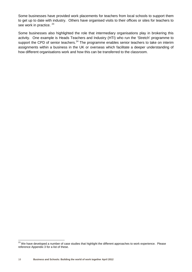Some businesses have provided work placements for teachers from local schools to support them to get up to date with industry. Others have organised visits to their offices or sites for teachers to see work in practice. <sup>[23](#page-18-0)</sup>

Some businesses also highlighted the role that intermediary organisations play in brokering this activity. One example is Heads Teachers and Industry (HTI) who run the 'Stretch' programme to support the CPD of senior teachers.<sup>[24](#page-18-1)</sup> The programme enables senior teachers to take on interim assignments within a business in the UK or overseas which facilitate a deeper understanding of how different organisations work and how this can be transferred to the classroom.

<u>.</u>

<span id="page-18-1"></span><span id="page-18-0"></span> $^{23}$  We have developed a number of case studies that highlight the different approaches to work experience. Please reference Appendix 3 for a list of these.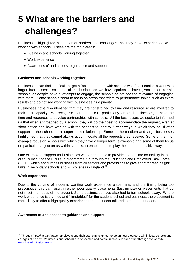# **5 What are the barriers and challenges?**

Businesses highlighted a number of barriers and challenges that they have experienced when working with schools. These are the main areas:

- Business and schools working together
- Work experience
- Awareness of and access to guidance and support

#### **Business and schools working together**

Businesses can find it difficult to "get a foot in the door" with schools who find it easier to work with larger businesses; also some of the businesses we have spoken to have given up on certain schools, as despite several attempts to engage, the schools do not see the relevance of engaging with them. Some schools seem to focus on areas that relate to performance tables such as exam results and do not see working with businesses as a priority.

Businesses have also identified that they are constrained by time and resource so are involved to their best capacity. We recognise that it is difficult, particularly for small businesses, to have the time and resources to develop partnerships with schools. All the businesses we spoke to informed us that when approached by a school, they will do their best to accommodate the request, even at short notice and have worked with the schools to identify further ways in which they could offer support to the schools in a longer term relationship. Some of the medium and large businesses highlighted that they cannot always accommodate all the requests they receive. Some of them for example focus on schools with which they have a longer term relationship and some of them focus on particular subject areas within schools, to enable them to play their part in a positive way.

One example of support for businesses who are not able to provide a lot of time for activity in this area, is Inspiring the Future, a programme run through the Education and Employers Task Force (EETF) which encourages business from all sectors and professions to give short "career insight" talks in secondary schools and FE colleges in England.<sup>[25](#page-19-0)</sup>

#### **Work experience**

<u>.</u>

Due to the volume of students wanting work experience placements and the timing being too prescriptive, this can result in either poor quality placements (last minute) or placements that do not meet the needs of the student. Some businesses have also had to turn schools away. Where work experience is planned and "timetabled" for the student, school and business, the placement is more likely to offer a high quality experience for the student tailored to meet their needs.

#### **Awareness of and access to guidance and support**

<span id="page-19-0"></span><sup>25</sup> Through *Inspiring the Future,* employers and their staff can volunteer to do an hour's careers talk in local schools and colleges at no cost. Volunteers and schools are connected and communicate with each other through the website [www.inspiringthefuture.org](http://www.inspiringthefuture.org/)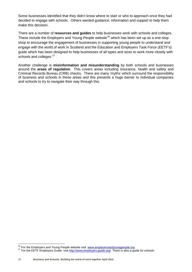Some businesses identified that they didn't know where to start or who to approach once they had decided to engage with schools. Others wanted guidance, information and support to help them make this decision.

There are a number of **resources and guides** to help businesses work with schools and colleges. These include the Employers and Young People website<sup>[26](#page-20-0)</sup> which has been set up as a one-stop shop to encourage the engagement of businesses in supporting young people to understand and engage with the world of work in Scotland and the Education and Employers Task Force (EETF's) guide which has been designed to help businesses of all types and sizes to work more closely with schools and colleges.<sup>[27](#page-20-1)</sup>

Another challenge is **misinformation and misunderstanding** by both schools and businesses around the **areas of regulation**. This covers areas including insurance, health and safety and Criminal Records Bureau (CRB) checks. There are many 'myths' which surround the responsibility of business and schools in these areas and this presents a huge barrier to individual companies and schools to try to navigate their way through this.

.

<span id="page-20-1"></span><span id="page-20-0"></span>

<sup>&</sup>lt;sup>26</sup> For the Employers and Young People website visit <u>[www.employersandyoungpeople.org](http://www.employersandyoungpeople.org/)</u><br><sup>27</sup> For the EETF Employers Guide, visit <u>http://www.employers-guide.org/</u> There is also a guide for schools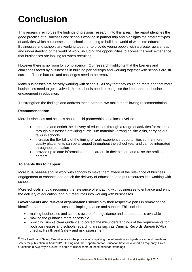## **Conclusion**

This research reinforces the findings of previous research into this area. The report identifies the good practice of businesses and schools working in partnership and highlights the different types of activities which businesses and schools are doing to build the world of work into education. Businesses and schools are working together to provide young people with a greater awareness and understanding of the world of work, including the opportunities to access the work experience that businesses are looking for when recruiting.

However there is no room for complacency. Our research highlights that the barriers and challenges faced by businesses in building partnerships and working together with schools are still current. These barriers and challenges need to be removed.

Many businesses are actively working with schools. All say that they could do more and that more businesses need to get involved. More schools need to recognise the importance of business engagement in education.

To strengthen the findings and address these barriers, we make the following recommendation.

#### **Recommendation:**

More businesses and schools should build partnerships at a local level to:

- enhance and enrich the delivery of education through a range of activities for example through businesses providing curriculum materials, arranging site visits, carrying out talks in schools
- increase the flexibility of the timing of work experience opportunities so that more quality placements can be arranged throughout the school year and can be integrated throughout education
- provide up to date information about careers in their sectors and raise the profile of careers

#### **To enable this to happen:**

<u>.</u>

More **businesses** should work with schools to make them aware of the relevance of business engagement to enhance and enrich the delivery of education, and put resources into working with schools.

More **schools** should recognise the relevance of engaging with businesses to enhance and enrich the delivery of education, and put resources into working with businesses.

**Governments and relevant organisations** should play their respective parts in removing the identified barriers around access to simple guidance and support. This includes:

- making businesses and schools aware of the guidance and support that is available
- making the guidance more accessible
- providing simple clear guidance to correct the misunderstandings of the requirements for both businesses and schools regarding areas such as Criminal Records Bureau (CRB) checks, Health and Safety and risk assessment<sup>[28](#page-21-0)</sup>

<span id="page-21-0"></span><sup>&</sup>lt;sup>28</sup> The Health and Safety Executive are in the process of simplifying the information and guidance around health and safety for publication in April 2012. In England, the Department for Education have developed a Frequently Asked Questions (FAQ) "myth buster" to begin to dispel some of these misunderstandings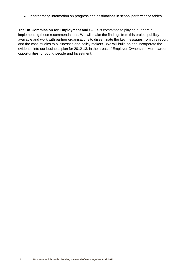• incorporating information on progress and destinations in school performance tables.

**The UK Commission for Employment and Skills** is committed to playing our part in implementing these recommendations. We will make the findings from this project publicly available and work with partner organisations to disseminate the key messages from this report and the case studies to businesses and policy makers. We will build on and incorporate the evidence into our business plan for 2012-13, in the areas of Employer Ownership, More career opportunities for young people and Investment.

.<br>-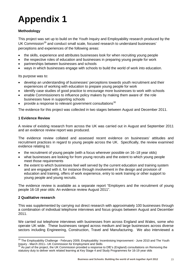# **Appendix 1**

#### **Methodology**

This project was set up to build on the Youth Inquiry and Employability research produced by the UK Commission<sup>[29](#page-23-0)</sup> and conduct small scale, focused research to understand businesses' perceptions and experiences of the following areas:

- the skills, experience and attributes businesses look for when recruiting young people
- the respective roles of education and businesses in preparing young people for work
- partnerships between businesses and schools
- ways in which businesses engage with schools to build the world of work into education.

Its purpose was to:

- develop an understanding of businesses' perceptions towards youth recruitment and their experiences of working with education to prepare young people for work
- identify case studies of good practice to encourage more businesses to work with schools
- enable Commissioners to influence policy makers by making them aware of the role businesses have in supporting schools
- provide a response to relevant government consultations $30$

The evidence for this project was collected in two stages between August and December 2011.

#### **1 Evidence Review**

A review of existing research from across the UK was carried out in August and September 2011 and an evidence review report was produced.

The evidence review collated and assessed recent evidence on businesses' attitudes and recruitment practices in regard to young people across the UK. Specifically, the review examined evidence relating to:

- the recruitment of young people (with a focus wherever possible on 16–18 year olds)
- what businesses are looking for from young recruits and the extent to which young people meet those requirements
- the extent to which businesses feel well served by the current education and training system and are engaged with it, for instance through involvement in the design and provision of education and training, offers of work experience, entry to work training or other support to young people and young recruits.

The evidence review is available as a separate report "Employers and the recruitment of young people 16-18 year olds: An evidence review August 2011".

#### **2 Qualitative research**

.

This was supplemented by carrying out direct research with approximately 100 businesses through a combination of individual telephone interviews and focus groups between August and December 2011.

We carried out telephone interviews with businesses from across England and Wales, some who operate UK wide. These businesses ranged across medium and large businesses across diverse sectors including Engineering, Construction, Travel and Manufacturing. We also interviewed a

<span id="page-23-0"></span><sup>&</sup>lt;sup>29</sup> The Employability Challenge - February 2009, Employability: Incentivising Improvement - June 2010 and The Youth Inquiry - March 2011– UK Commission for Employment and Skills

<span id="page-23-1"></span>Inquiry march 2011– 2011– 2012<br><sup>30</sup> As part of the project, the UK Commission provided a response to DfE's (England) consultations on Removing the statutory duty to deliver work related learning at Key Stage 4 and Study Programmes for 16-19 year olds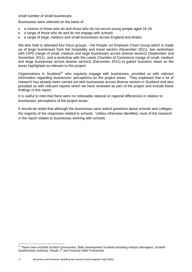small number of small businesses.

Businesses were selected on the basis of:

- a mixture of those who do and those who do not recruit young people aged 16-18
- a range of those who do and do not engage with schools
- a range of large, medium and small businesses across England and Wales.

We also held or attended four focus groups – the People 1st Employer Chain Group which is made up of large businesses from the hospitality and travel sectors (November 2011), two workshops with CIPD (range of small, medium and large businesses across diverse sectors) (September and November 2011) and a workshop with the Leeds Chamber of Commerce (range of small, medium and large businesses across diverse sectors) (December 2011) to gather business views on the areas highlighted as relevant to this project.

Organisations in Scotland<sup>[31](#page-24-0)</sup> who regularly engage with businesses, provided us with relevant information regarding businesses' perceptions on the project areas. They explained that a lot of research has already been carried out with businesses across diverse sectors in Scotland and also provided us with relevant reports which we have reviewed as part of the project and include these findings in this report.

It is useful to note that there were no noticeable national or regional differences in relation to businesses' perceptions of the project areas.

It should be noted that although the businesses were asked questions about schools and colleges, the majority of the responses related to schools. Unless otherwise identified, most of the research in the report relates to businesses working with schools.

.

<span id="page-24-0"></span><sup>&</sup>lt;sup>31</sup> These have included Scottish Government, Skills Development Scotland (including Industry Managers), Scottish Qualifications Authority, People 1<sup>st</sup> and Financial Skills Partnership.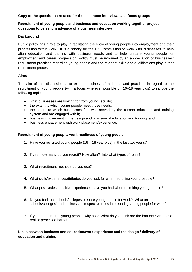#### **Copy of the questionnaire used for the telephone interviews and focus groups**

#### **Recruitment of young people and business and education working together project – questions to be sent in advance of a business interview**

#### **Background**

Public policy has a role to play in facilitating the entry of young people into employment and their progression within work. It is a priority for the UK Commission to work with businesses to help align education and training with business needs and to help prepare young people for employment and career progression. Policy must be informed by an appreciation of businesses' recruitment practices regarding young people and the role that skills and qualifications play in that recruitment process.

#### **Aims**

The aim of this discussion is to explore businesses' attitudes and practices in regard to the recruitment of young people (with a focus wherever possible on 16–18 year olds) to include the following topics:

- what businesses are looking for from young recruits;
- the extent to which young people meet those needs;
- the extent to which businesses feel well served by the current education and training system and are engaged with it;
- business involvement in the design and provision of education and training; and
- business engagement with work placement/experience.

#### **Recruitment of young people/ work readiness of young people**

- 1. Have you recruited young people (16 18 year olds) in the last two years?
- 2. If yes, how many do you recruit? How often? Into what types of roles?
- 3. What recruitment methods do you use?
- 4. What skills/experience/attributes do you look for when recruiting young people?
- 5. What positive/less positive experiences have you had when recruiting young people?
- 6. Do you feel that schools/colleges prepare young people for work? What are schools/colleges' and businesses' respective roles in preparing young people for work?
- 7. If you do not recruit young people, why not? What do you think are the barriers? Are these real or perceived barriers?

**Links between business and education/work experience and the design / delivery of education and training**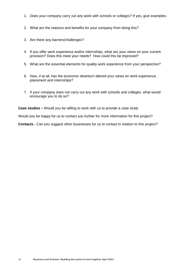- 1. Does your company carry out any work with schools or colleges? If yes, give examples.
- 2. What are the reasons and benefits for your company from doing this?
- 3. Are there any barriers/challenges?
- 4. If you offer work experience and/or internships, what are your views on your current provision? Does this meet your needs? How could this be improved?
- 5. What are the essential elements for quality work experience from your perspective?
- 6. How, if at all, has the economic downturn altered your views on work experience, placement and internships?
- 7. If your company does not carry out any work with schools and colleges, what would encourage you to do so?

**Case studies –** Would you be willing to work with us to provide a case study

Would you be happy for us to contact you further for more information for this project?

**Contacts -** Can you suggest other businesses for us to contact in relation to this project?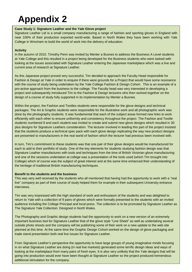## **Appendix 2**

#### **Case Study 1: Signature Leather and the Yale Glove project**

Signature Leather Ltd is a small company manufacturing a range of fashion and sporting gloves in England with near 100% of their production exported world-wide. Based in North Wales they have been working with Yale College in Wrexham to build the world of work into the delivery of education.

#### **Activity**

In the autumn of 2010, Timothy Penn was invited by Menter a Busnes to address the Business A Level students at Yale College and this resulted in a project being developed for the Business students who were tasked with looking at the issues associated with Signature Leather entering the Japanese marketplace which was a live and current area of research at Signature Leather.

As this Japanese project proved very successful, Tim decided to approach the Faculty Head responsible for Fashion & Design at Yale in order to enquire if there were grounds for a Project that would have some resonance with the course of study being undertaken by the Yale College Fashion & Design Cohort. This is an example of a pro-active approach from the business to the college. The Faculty head was very interested in developing a project and subsequently introduced Tim to the Fashion & Design lecturers who then worked together on the design of a course of study fully supported in its implementation by Menter a Busnes.

Within the project, the Fashion and Textiles students were responsible for the glove designs and technical packages. The Art & Graphic students were responsible for the illustrative work and all photographic work was done by the photography students. It was fundamental that each of the subject areas formed new links to work efficiently with each other to ensure uniformity and consistency throughout the project. The Fashion and Textile students numbered 9 and each student was invited to create and submit new glove designs which resulted in 30 plus designs for Signature Leathers consideration. The lecturer involved in leading this part of the project insisted that the students produce a technical spec pack with each glove design replicating the way new product designs are presented to manufacturers in the real world of fashion which the lecturer had previous been involved with.

In turn, Tim's commitment to these students was that one pair of their glove designs would be manufactured for each to add to their portfolio of study. One of the key elements for students studying fashion design was that Signature Leather manufactures with tools and techniques from the time of British Victorian glove manufacturing and one of the sessions undertaken at college was a presentation of the tools used (which Tim brought into College) which of course was the subject of great interest and at the same time enhanced their understanding of the heritage of traditional British manufacturing techniques.

#### **Benefit to the students and the business**

This was very well received by the students who all mentioned that having had the opportunity to work with a "real live" company as part of their course of study helped them for example in their subsequent University entrance interviews.

Tim was very impressed with the high standard of work and enthusiasm of the students and was delighted to return to Yale with a collection of 9 pairs of gloves which were formally presented to the students with an invited audience including the College Principal and local press. The collection is to be promoted by Signature Leather as The Signature Yale Collection: Designed in North Wales.

The Photography and Graphic design students had the opportunity to work on a new version of an extremely important business tool for Signature Leather that of the glove style "Line Sheet" as well as undertaking several outside photo shoots and the company will be publishing some of their work on a new update to the web site planned at this time. At the same time the Graphic Design Cohort worked on the design of glove packaging and trade stand presentation both real live issues for Signature Leather.

From Signature Leather's perspective the opportunity to have large groups of young imaginative minds focusing in on what Signature Leather are doing (in real live markets) generated some terrific design ideas and ways of looking at the marketplace from many pairs of fresh eyes. It is also very unlikely that the Yale designs that will be going into production would ever have been thought at Signature Leather so the project produced tremendous additional stimulation for the company.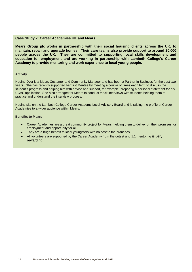#### **Case Study 2: Career Academies UK and Mears**

**Mears Group plc works in partnership with their social housing clients across the UK, to maintain, repair and upgrade homes. Their care teams also provide support to around 20,000 people across the UK. They are committed to supporting local skills development and education for employment and are working in partnership with Lambeth College's Career Academy to provide mentoring and work experience to local young people.**

#### **Activity**

Nadine Dyer is a Mears Customer and Community Manager and has been a Partner in Business for the past two years. She has recently supported her first Mentee by meeting a couple of times each term to discuss the student's progress and helping him with advice and support, for example, preparing a personal statement for his UCAS application. She also arranged for Mears to conduct mock interviews with students helping them to practice and understand the interview process.

Nadine sits on the Lambeth College Career Academy Local Advisory Board and is raising the profile of Career Academies to a wider audience within Mears.

#### **Benefits to Mears**

- Career Academies are a great community project for Mears, helping them to deliver on their promises for employment and opportunity for all.
- They are a huge benefit to local youngsters with no cost to the branches.
- All volunteers are supported by the Career Academy from the outset and 1:1 mentoring is very rewarding.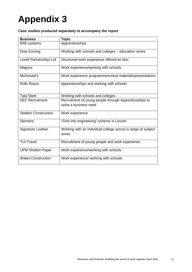# **Appendix 3**

#### **Case studies produced separately to accompany the report**

| <b>Business</b>            | <b>Topic</b>                                                                    |
|----------------------------|---------------------------------------------------------------------------------|
| <b>BAE</b> systems         | Apprenticeships                                                                 |
| Dow Corning                | Working with schools and colleges - education centre                            |
| Lovell Partnerships Ltd    | Structured work experience offered en bloc                                      |
| Magnox                     | Work experience/working with schools                                            |
| McDonald's                 | Work experience programme/school materials/presentations                        |
| <b>Rolls Royce</b>         | Apprenticeships and working with schools                                        |
| <b>Tata Steel</b>          | Working with schools and colleges                                               |
| <b>SEC Recruitment</b>     | Recruitment of young people through Apprenticeships to<br>solve a business need |
| <b>Seddon Construction</b> | Work experience                                                                 |
| <b>Siemens</b>             | "Girls into engineering" scheme in Lincoln                                      |
| Signature Leather          | Working with an individual college across a range of subject<br>areas           |
| <b>TUI Travel</b>          | Recruitment of young people and work experience                                 |
| <b>UPM Shotton Paper</b>   | Work experience/working with schools                                            |
| <b>Wates Construction</b>  | Work experience/ working with schools                                           |